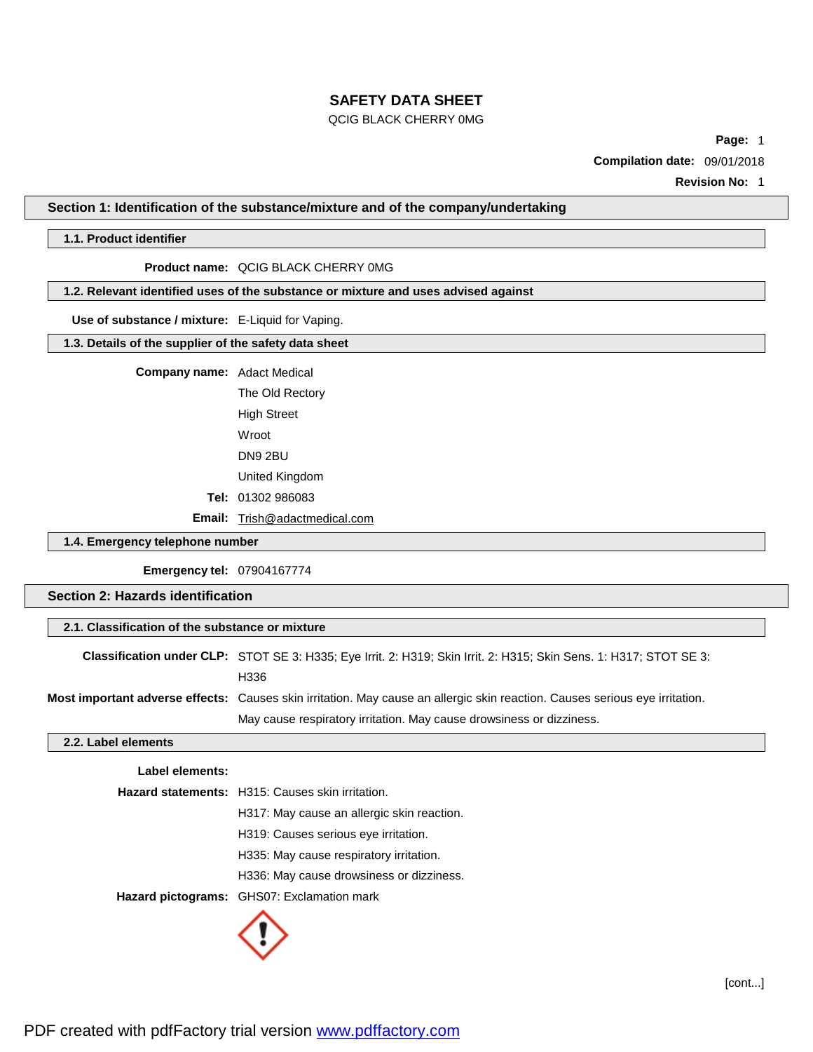## QCIG BLACK CHERRY 0MG

**Page:** 1 **Compilation date:** 09/01/2018

**Revision No:** 1

## **Section 1: Identification of the substance/mixture and of the company/undertaking**

# **1.1. Product identifier**

# **Product name:** QCIG BLACK CHERRY 0MG

#### **1.2. Relevant identified uses of the substance or mixture and uses advised against**

**Use of substance / mixture:** E-Liquid for Vaping.

# **1.3. Details of the supplier of the safety data sheet**

### **Company name:** Adact Medical

The Old Rectory High Street Wroot DN9 2BU United Kingdom **Tel:** 01302 986083

# **Email:** [Trish@adactmedical.com](mailto:Trish@adactmedical.com)

**1.4. Emergency telephone number**

**Emergency tel:** 07904167774

# **Section 2: Hazards identification**

# **2.1. Classification of the substance or mixture**

| <b>Classification under CLP:</b> STOT SE 3: H335; Eye Irrit. 2: H319; Skin Irrit. 2: H315; Skin Sens. 1: H317; STOT SE 3:   |
|-----------------------------------------------------------------------------------------------------------------------------|
| H336                                                                                                                        |
| Most important adverse effects: Causes skin irritation. May cause an allergic skin reaction. Causes serious eye irritation. |
| May cause respiratory irritation. May cause drowsiness or dizziness.                                                        |

# **2.2. Label elements**

# **Label elements:**

| <b>Hazard statements:</b> H315: Causes skin irritation. |  |
|---------------------------------------------------------|--|
| H317: May cause an allergic skin reaction.              |  |
| H319: Causes serious eve irritation.                    |  |
| H335: May cause respiratory irritation.                 |  |
| H336: May cause drowsiness or dizziness.                |  |
| Hazard pictograms: GHS07: Exclamation mark              |  |
|                                                         |  |

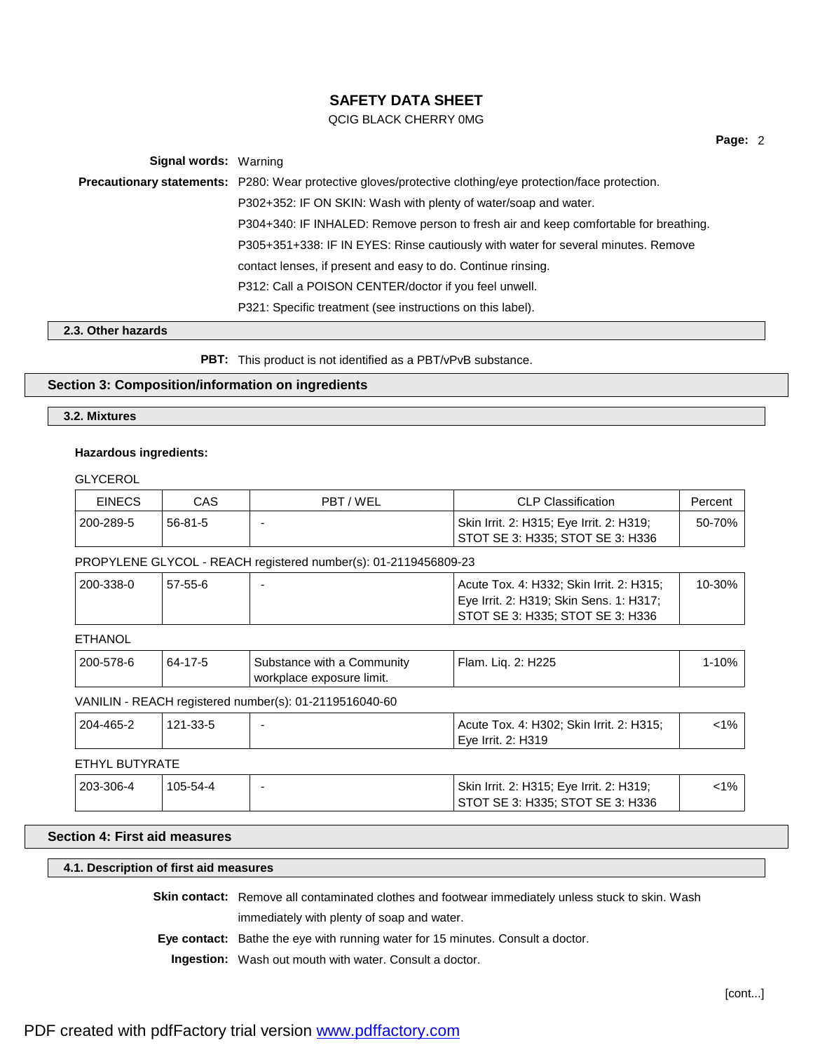## QCIG BLACK CHERRY 0MG

**Page:** 2

**Signal words:** Warning **Precautionary statements:** P280: Wear protective gloves/protective clothing/eye protection/face protection. P302+352: IF ON SKIN: Wash with plenty of water/soap and water. P304+340: IF INHALED: Remove person to fresh air and keep comfortable for breathing. P305+351+338: IF IN EYES: Rinse cautiously with water for several minutes. Remove contact lenses, if present and easy to do. Continue rinsing. P312: Call a POISON CENTER/doctor if you feel unwell. P321: Specific treatment (see instructions on this label).

# **2.3. Other hazards**

**PBT:** This product is not identified as a PBT/vPvB substance.

### **Section 3: Composition/information on ingredients**

### **3.2. Mixtures**

# **Hazardous ingredients:**

GLYCEROL

| <b>EINECS</b> | CAS           | PBT / WEL | <b>CLP Classification</b>                                                    | Percent |
|---------------|---------------|-----------|------------------------------------------------------------------------------|---------|
| 200-289-5     | $56 - 81 - 5$ |           | Skin Irrit. 2: H315; Eye Irrit. 2: H319;<br>STOT SE 3: H335; STOT SE 3: H336 | 50-70%  |

PROPYLENE GLYCOL - REACH registered number(s): 01-2119456809-23

| 200-338-0 | 57-55-6 | ↓ Acute Tox. 4: H332; Skin Irrit. 2: H315; | 10-30% |
|-----------|---------|--------------------------------------------|--------|
|           |         | Eye Irrit. 2: H319; Skin Sens. 1: H317;    |        |
|           |         | STOT SE 3: H335; STOT SE 3: H336           |        |

# **ETHANOL**

| 200-578-6 | 64-17-5 | Substance with a Community<br>workplace exposure limit. | ' Flam. Lig. 2: H225 | 1-10% |
|-----------|---------|---------------------------------------------------------|----------------------|-------|
|           |         | VANILIN - REACH registered number(s): 01-2119516040-60  |                      |       |

#### 204-465-2 121-33-5 - Acute Tox. 4: H302; Skin Irrit. 2: H315; Eye Irrit. 2: H319 <1%

### ETHYL BUTYRATE

| 203-306-4 | 105-54-4 | Skin Irrit. 2: H315; Eye Irrit. 2: H319; | $1\%$ |
|-----------|----------|------------------------------------------|-------|
|           |          | STOT SE 3: H335: STOT SE 3: H336         |       |

# **Section 4: First aid measures**

## **4.1. Description of first aid measures**

**Skin contact:** Remove all contaminated clothes and footwear immediately unless stuck to skin. Wash

immediately with plenty of soap and water.

**Eye contact:** Bathe the eye with running water for 15 minutes. Consult a doctor.

**Ingestion:** Wash out mouth with water. Consult a doctor.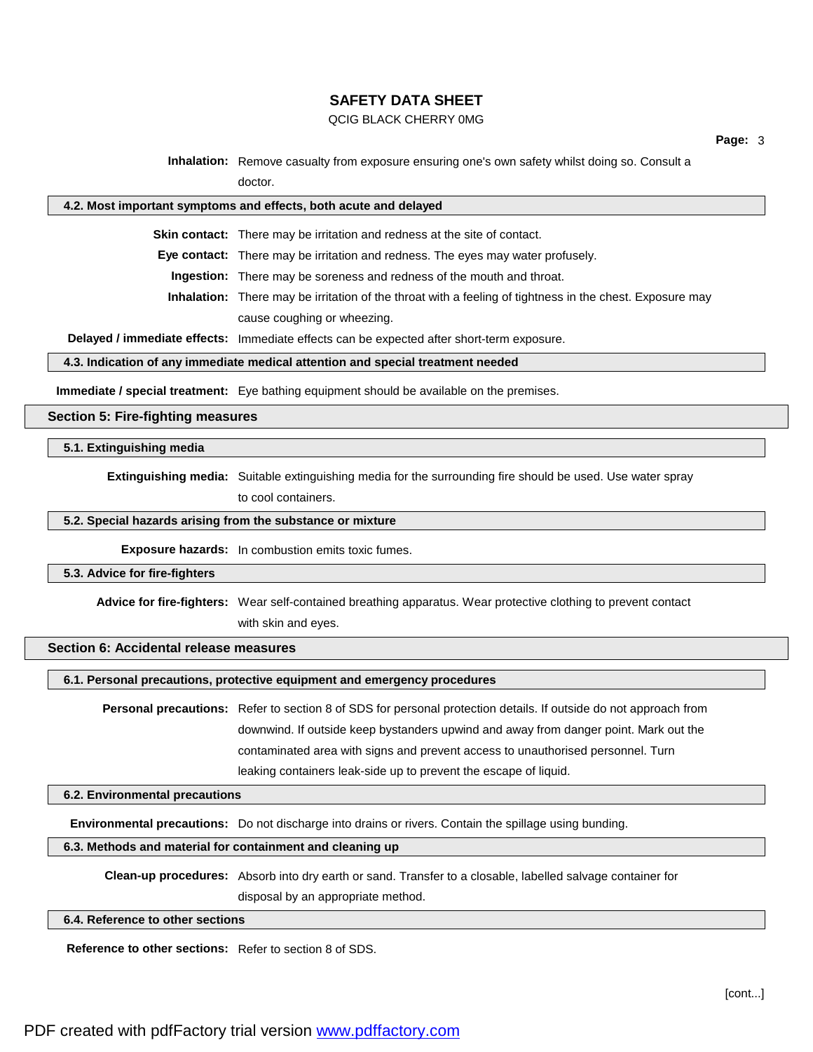### QCIG BLACK CHERRY 0MG

**Inhalation:** Remove casualty from exposure ensuring one's own safety whilst doing so. Consult a doctor.

#### **4.2. Most important symptoms and effects, both acute and delayed**

**Skin contact:** There may be irritation and redness at the site of contact.

**Eye contact:** There may be irritation and redness. The eyes may water profusely.

**Ingestion:** There may be soreness and redness of the mouth and throat.

**Inhalation:** There may be irritation of the throat with a feeling of tightness in the chest. Exposure may cause coughing or wheezing.

**Delayed / immediate effects:** Immediate effects can be expected after short-term exposure.

#### **4.3. Indication of any immediate medical attention and special treatment needed**

**Immediate / special treatment:** Eye bathing equipment should be available on the premises.

### **Section 5: Fire-fighting measures**

### **5.1. Extinguishing media**

**Extinguishing media:** Suitable extinguishing media for the surrounding fire should be used. Use water spray

to cool containers.

### **5.2. Special hazards arising from the substance or mixture**

**Exposure hazards:** In combustion emits toxic fumes.

### **5.3. Advice for fire-fighters**

**Advice for fire-fighters:** Wear self-contained breathing apparatus. Wear protective clothing to prevent contact

with skin and eyes.

# **Section 6: Accidental release measures**

**6.1. Personal precautions, protective equipment and emergency procedures**

**Personal precautions:** Refer to section 8 of SDS for personal protection details. If outside do not approach from downwind. If outside keep bystanders upwind and away from danger point. Mark out the contaminated area with signs and prevent access to unauthorised personnel. Turn leaking containers leak-side up to prevent the escape of liquid.

### **6.2. Environmental precautions**

**Environmental precautions:** Do not discharge into drains or rivers. Contain the spillage using bunding.

# **6.3. Methods and material for containment and cleaning up**

**Clean-up procedures:** Absorb into dry earth or sand. Transfer to a closable, labelled salvage container for disposal by an appropriate method.

**6.4. Reference to other sections**

**Reference to other sections:** Refer to section 8 of SDS.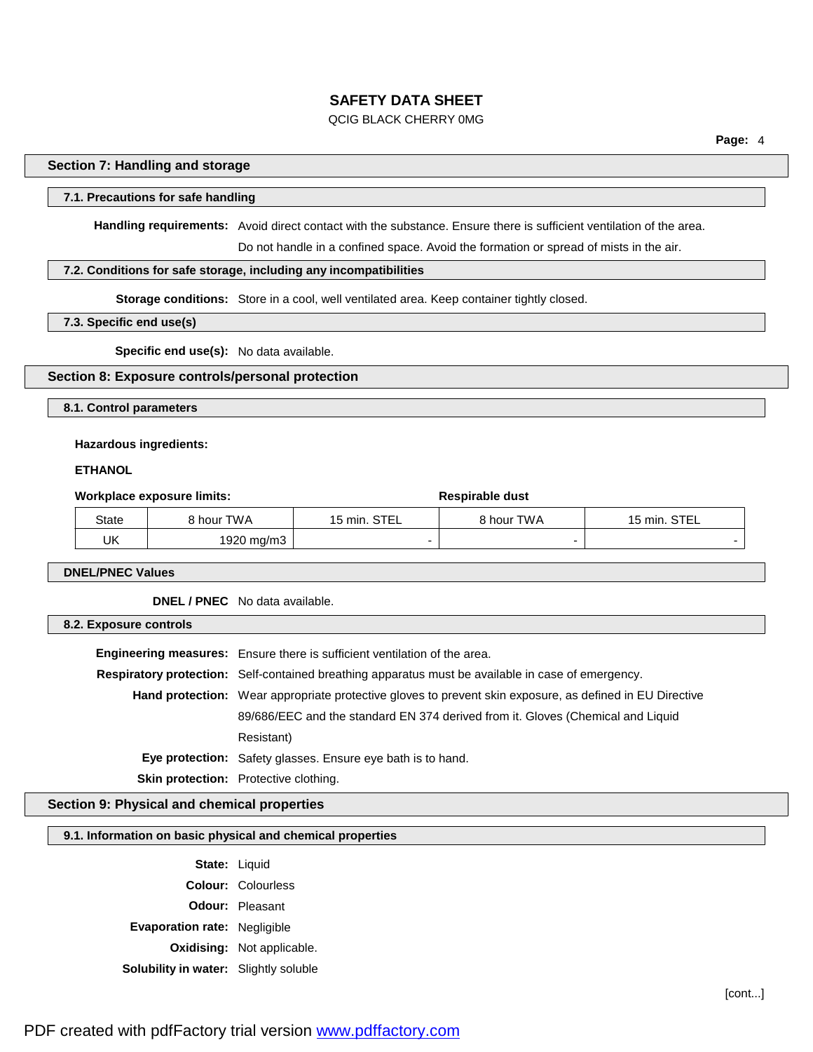### QCIG BLACK CHERRY 0MG

**Page:** 4

#### **Section 7: Handling and storage**

### **7.1. Precautions for safe handling**

**Handling requirements:** Avoid direct contact with the substance. Ensure there is sufficient ventilation of the area.

Do not handle in a confined space. Avoid the formation or spread of mists in the air.

## **7.2. Conditions for safe storage, including any incompatibilities**

**Storage conditions:** Store in a cool, well ventilated area. Keep container tightly closed.

### **7.3. Specific end use(s)**

**Specific end use(s):** No data available.

### **Section 8: Exposure controls/personal protection**

**8.1. Control parameters**

### **Hazardous ingredients:**

### **ETHANOL**

| Workplace exposure limits: |            |              | <b>Respirable dust</b> |              |
|----------------------------|------------|--------------|------------------------|--------------|
| <b>State</b>               | 8 hour TWA | 15 min. STEL | 8 hour TWA             | 15 min. STEL |
| UΚ                         | 1920 mg/m3 |              |                        |              |

### **DNEL/PNEC Values**

**DNEL / PNEC** No data available.

### **8.2. Exposure controls**

**Engineering measures:** Ensure there is sufficient ventilation of the area. **Respiratory protection:** Self-contained breathing apparatus must be available in case of emergency. **Hand protection:** Wear appropriate protective gloves to prevent skin exposure, as defined in EU Directive 89/686/EEC and the standard EN 374 derived from it. Gloves (Chemical and Liquid Resistant) **Eye protection:** Safety glasses. Ensure eye bath is to hand. **Skin protection:** Protective clothing.

# **Section 9: Physical and chemical properties**

## **9.1. Information on basic physical and chemical properties**

**State:** Liquid **Colour:** Colourless **Odour:** Pleasant **Evaporation rate:** Negligible **Oxidising:** Not applicable. **Solubility in water:** Slightly soluble

[cont...]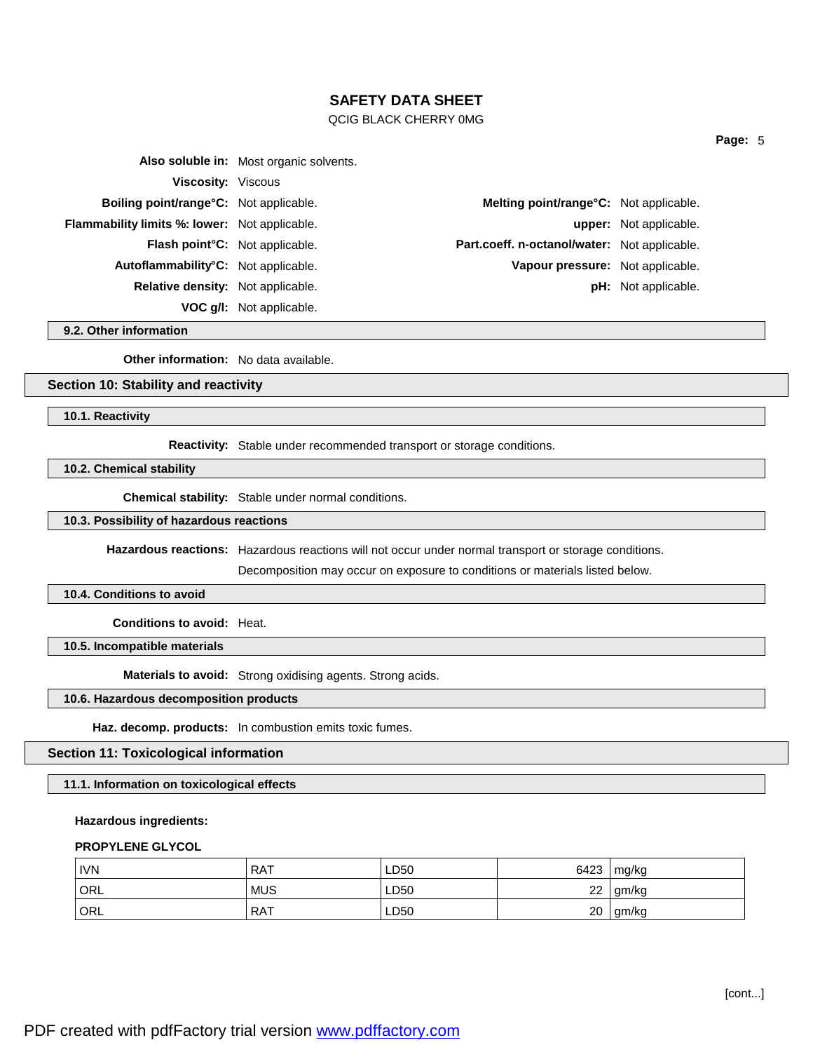## QCIG BLACK CHERRY 0MG

|                                                      | Also soluble in: Most organic solvents. |                                                     |                               |
|------------------------------------------------------|-----------------------------------------|-----------------------------------------------------|-------------------------------|
| <b>Viscosity:</b> Viscous                            |                                         |                                                     |                               |
| <b>Boiling point/range °C:</b> Not applicable.       |                                         | <b>Melting point/range °C:</b> Not applicable.      |                               |
| <b>Flammability limits %: lower:</b> Not applicable. |                                         |                                                     | <b>upper:</b> Not applicable. |
| <b>Flash point C:</b> Not applicable.                |                                         | <b>Part.coeff. n-octanol/water:</b> Not applicable. |                               |
| Autoflammability <sup>°</sup> C: Not applicable.     |                                         | Vapour pressure: Not applicable.                    |                               |
| <b>Relative density:</b> Not applicable.             |                                         |                                                     | <b>pH:</b> Not applicable.    |
|                                                      | <b>VOC g/l:</b> Not applicable.         |                                                     |                               |

**9.2. Other information**

**Other information:** No data available.

# **Section 10: Stability and reactivity**

**10.1. Reactivity**

**Reactivity:** Stable under recommended transport or storage conditions.

**10.2. Chemical stability**

**Chemical stability:** Stable under normal conditions.

# **10.3. Possibility of hazardous reactions**

**Hazardous reactions:** Hazardous reactions will not occur under normal transport or storage conditions.

Decomposition may occur on exposure to conditions or materials listed below.

# **10.4. Conditions to avoid**

**Conditions to avoid:** Heat.

**10.5. Incompatible materials**

**Materials to avoid:** Strong oxidising agents. Strong acids.

**10.6. Hazardous decomposition products**

**Haz. decomp. products:** In combustion emits toxic fumes.

# **Section 11: Toxicological information**

**11.1. Information on toxicological effects**

### **Hazardous ingredients:**

#### **PROPYLENE GLYCOL**

| <b>IVN</b> | <b>RAT</b> | LD50 | 6423 | mg/kg |
|------------|------------|------|------|-------|
| ORL        | <b>MUS</b> | LD50 | 22   | gm/kg |
| ' ORL      | <b>RAT</b> | LD50 | 20   | gm/kg |

**Page:** 5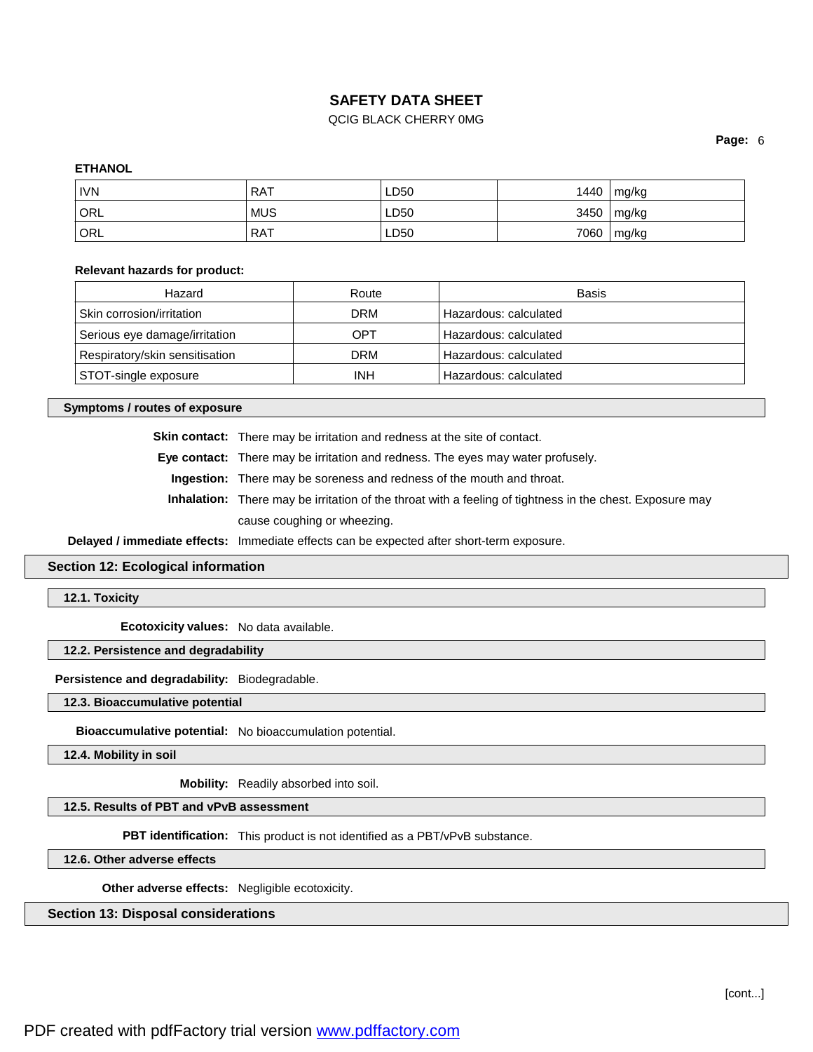# QCIG BLACK CHERRY 0MG

### **Page:** 6

# **ETHANOL**

| <b>IVN</b>       | <b>RAT</b> | LD50 | 1440 | mg/kg             |
|------------------|------------|------|------|-------------------|
| ORL <sup>'</sup> | <b>MUS</b> | LD50 |      | $3450 \mid mg/kg$ |
| ORL              | <b>RAT</b> | LD50 | 7060 | mg/kg             |

### **Relevant hazards for product:**

| Hazard                         | Route | <b>Basis</b>          |
|--------------------------------|-------|-----------------------|
| Skin corrosion/irritation      | DRM   | Hazardous: calculated |
| Serious eye damage/irritation  | OPT   | Hazardous: calculated |
| Respiratory/skin sensitisation | DRM   | Hazardous: calculated |
| STOT-single exposure           | INH   | Hazardous: calculated |

**Symptoms / routes of exposure**

**Skin contact:** There may be irritation and redness at the site of contact.

**Eye contact:** There may be irritation and redness. The eyes may water profusely.

**Ingestion:** There may be soreness and redness of the mouth and throat.

**Inhalation:** There may be irritation of the throat with a feeling of tightness in the chest. Exposure may cause coughing or wheezing.

**Delayed / immediate effects:** Immediate effects can be expected after short-term exposure.

**Section 12: Ecological information**

**12.1. Toxicity**

**Ecotoxicity values:** No data available.

**12.2. Persistence and degradability**

**Persistence and degradability:** Biodegradable.

**12.3. Bioaccumulative potential**

**Bioaccumulative potential:** No bioaccumulation potential.

**12.4. Mobility in soil**

**Mobility:** Readily absorbed into soil.

**12.5. Results of PBT and vPvB assessment**

**PBT identification:** This product is not identified as a PBT/vPvB substance.

**12.6. Other adverse effects**

**Other adverse effects:** Negligible ecotoxicity.

**Section 13: Disposal considerations**